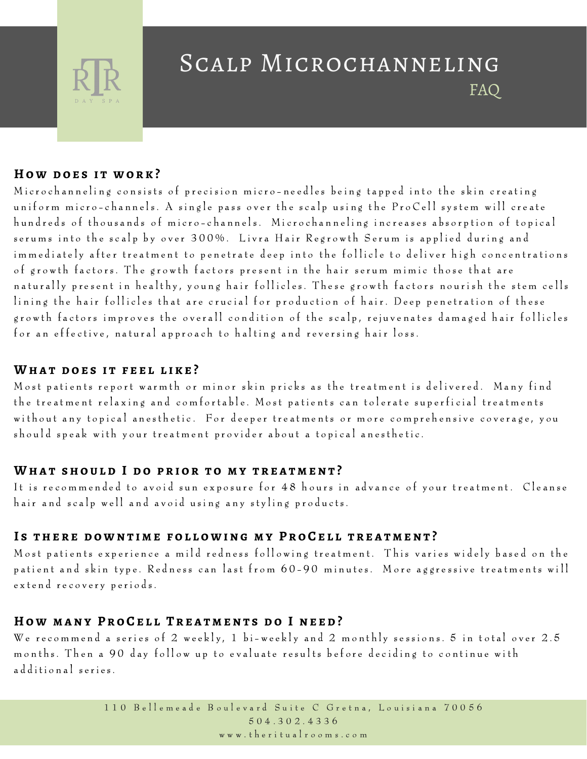

# Scalp Microchanneling FAQ

#### **H o w d o e s i t w o r k ?**

Microchanneling consists of precision micro-needles being tapped into the skin creating uniform micro-channels. A single pass over the scalp using the ProCell system will create hundreds of thousands of micro-channels. Microchanneling increases absorption of topical serums into the scalp by over 300%. Livra Hair Regrowth Serum is applied during and im mediately after treatment to penetrate deep into the follicle to deliver high concentrations of growth factors. The growth factors present in the hair serum mimic those that are naturally present in healthy, young hair follicles. These growth factors nourish the stem cells lining the hair follicles that are crucial for production of hair. Deep penetration of these growth factors improves the overall condition of the scalp, rejuvenates damaged hair follicles for an effective, natural approach to halting and reversing hair loss.

### WHAT DOES IT FEEL LIKE?

Most patients report warm th or minor skin pricks as the treatment is delivered. Many find the treatment relaxing and comfortable. Most patients can tolerate superficial treatments without any topical anesthetic. For deeper treatments or more comprehensive coverage, you should speak with your treatment provider about a topical anesthetic.

### WHAT SHOULD I DO PRIOR TO MY TREATMENT?

It is recommended to avoid sun exposure for 48 hours in advance of your treatment. Cleanse hair and scalp well and avoid using any styling products.

### IS THERE DOWNTIME FOLLOWING MY PROCELL TREATMENT?

Most patients experience a mild redness following treatment. This varies widely based on the patient and skin type. Redness can last from 60-90 minutes. More aggressive treatments will extend recovery periods.

## HOW MANY PROCELL TREATMENTS DO I NEED?

We recommend a series of 2 weekly, 1 bi-weekly and 2 monthly sessions. 5 in total over  $2.5$ months. Then a 90 day follow up to evaluate results before deciding to continue with additional series.